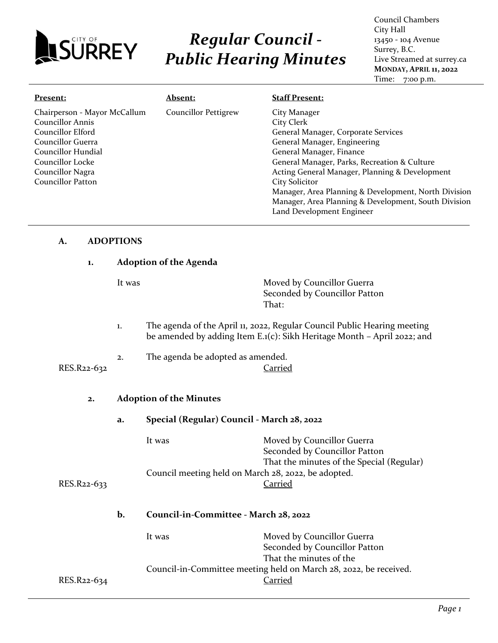

# *Regular Council - Public Hearing Minutes*

Council Chambers City Hall 13450 - 104 Avenue Surrey, B.C. Live Streamed at surrey.ca **MONDAY, APRIL 11, 2022** Time: 7:00 p.m.

| Present:                     | Absent:                     | <b>Staff Present:</b>                                |
|------------------------------|-----------------------------|------------------------------------------------------|
| Chairperson - Mayor McCallum | <b>Councillor Pettigrew</b> | City Manager                                         |
| Councillor Annis             |                             | City Clerk                                           |
| Councillor Elford            |                             | General Manager, Corporate Services                  |
| Councillor Guerra            |                             | General Manager, Engineering                         |
| Councillor Hundial           |                             | General Manager, Finance                             |
| Councillor Locke             |                             | General Manager, Parks, Recreation & Culture         |
| Councillor Nagra             |                             | Acting General Manager, Planning & Development       |
| Councillor Patton            |                             | City Solicitor                                       |
|                              |                             | Manager, Area Planning & Development, North Division |
|                              |                             | Manager, Area Planning & Development, South Division |
|                              |                             | Land Development Engineer                            |

## **A. ADOPTIONS**

| 1.          | <b>Adoption of the Agenda</b> |                                                               |                                                                                                                                                     |
|-------------|-------------------------------|---------------------------------------------------------------|-----------------------------------------------------------------------------------------------------------------------------------------------------|
|             | It was                        |                                                               | Moved by Councillor Guerra<br>Seconded by Councillor Patton<br>That:                                                                                |
|             | 1.                            |                                                               | The agenda of the April 11, 2022, Regular Council Public Hearing meeting<br>be amended by adding Item E.1(c): Sikh Heritage Month - April 2022; and |
| RES.R22-632 | 2.                            | The agenda be adopted as amended.                             | <b>Carried</b>                                                                                                                                      |
| 2.          |                               | <b>Adoption of the Minutes</b>                                |                                                                                                                                                     |
|             | a.                            | Special (Regular) Council - March 28, 2022                    |                                                                                                                                                     |
| RES.R22-633 |                               | It was<br>Council meeting held on March 28, 2022, be adopted. | Moved by Councillor Guerra<br>Seconded by Councillor Patton<br>That the minutes of the Special (Regular)<br>Carried                                 |
|             | b.                            | Council-in-Committee - March 28, 2022                         |                                                                                                                                                     |
|             |                               | It was                                                        | Moved by Councillor Guerra<br>Seconded by Councillor Patton<br>That the minutes of the                                                              |
| RES.R22-634 |                               |                                                               | Council-in-Committee meeting held on March 28, 2022, be received.<br>Carried                                                                        |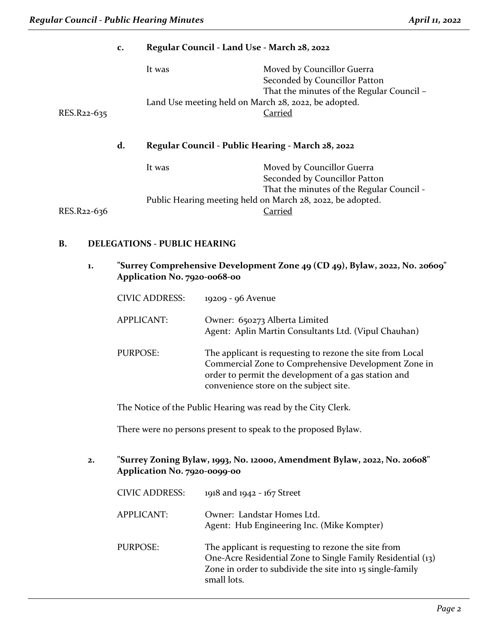| $\mathbf{c}$ . |             |                 | Regular Council - Land Use - March 28, 2022                                                              |                            |                                                                                                                                                                                                                     |
|----------------|-------------|-----------------|----------------------------------------------------------------------------------------------------------|----------------------------|---------------------------------------------------------------------------------------------------------------------------------------------------------------------------------------------------------------------|
|                |             |                 | It was                                                                                                   |                            | Moved by Councillor Guerra<br>Seconded by Councillor Patton<br>That the minutes of the Regular Council -<br>Land Use meeting held on March 28, 2022, be adopted.                                                    |
|                | RES.R22-635 |                 |                                                                                                          |                            | <b>Carried</b>                                                                                                                                                                                                      |
|                |             | d.              |                                                                                                          |                            | Regular Council - Public Hearing - March 28, 2022                                                                                                                                                                   |
|                |             |                 | It was                                                                                                   |                            | Moved by Councillor Guerra<br>Seconded by Councillor Patton                                                                                                                                                         |
|                | RES.R22-636 |                 |                                                                                                          |                            | That the minutes of the Regular Council -<br>Public Hearing meeting held on March 28, 2022, be adopted.<br>Carried                                                                                                  |
| B.             |             |                 | <b>DELEGATIONS - PUBLIC HEARING</b>                                                                      |                            |                                                                                                                                                                                                                     |
| 1.             |             |                 | Application No. 7920-0068-00                                                                             |                            | "Surrey Comprehensive Development Zone 49 (CD 49), Bylaw, 2022, No. 20609"                                                                                                                                          |
|                |             |                 | <b>CIVIC ADDRESS:</b>                                                                                    | 19209 - 96 Avenue          |                                                                                                                                                                                                                     |
|                |             |                 | <b>APPLICANT:</b>                                                                                        |                            | Owner: 650273 Alberta Limited<br>Agent: Aplin Martin Consultants Ltd. (Vipul Chauhan)                                                                                                                               |
|                |             | <b>PURPOSE:</b> |                                                                                                          |                            | The applicant is requesting to rezone the site from Local<br>Commercial Zone to Comprehensive Development Zone in<br>order to permit the development of a gas station and<br>convenience store on the subject site. |
|                |             |                 |                                                                                                          |                            | The Notice of the Public Hearing was read by the City Clerk.                                                                                                                                                        |
|                |             |                 |                                                                                                          |                            | There were no persons present to speak to the proposed Bylaw.                                                                                                                                                       |
| $\mathbf{2}$ . |             |                 | "Surrey Zoning Bylaw, 1993, No. 12000, Amendment Bylaw, 2022, No. 20608"<br>Application No. 7920-0099-00 |                            |                                                                                                                                                                                                                     |
|                |             |                 | <b>CIVIC ADDRESS:</b>                                                                                    | 1918 and 1942 - 167 Street |                                                                                                                                                                                                                     |
|                |             |                 | <b>APPLICANT:</b>                                                                                        |                            | Owner: Landstar Homes Ltd.<br>Agent: Hub Engineering Inc. (Mike Kompter)                                                                                                                                            |
|                |             | <b>PURPOSE:</b> |                                                                                                          |                            | The applicant is requesting to rezone the site from<br>One-Acre Residential Zone to Single Family Residential (13)<br>Zone in order to subdivide the site into 15 single-family                                     |

small lots.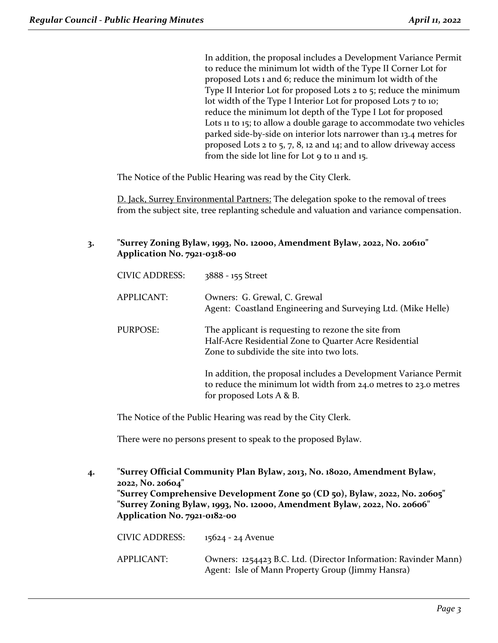In addition, the proposal includes a Development Variance Permit to reduce the minimum lot width of the Type II Corner Lot for proposed Lots 1 and 6; reduce the minimum lot width of the Type II Interior Lot for proposed Lots 2 to 5; reduce the minimum lot width of the Type I Interior Lot for proposed Lots 7 to 10; reduce the minimum lot depth of the Type I Lot for proposed Lots 11 to 15; to allow a double garage to accommodate two vehicles parked side-by-side on interior lots narrower than 13.4 metres for proposed Lots 2 to 5, 7, 8, 12 and 14; and to allow driveway access from the side lot line for Lot 9 to 11 and 15.

The Notice of the Public Hearing was read by the City Clerk.

D. Jack, Surrey Environmental Partners: The delegation spoke to the removal of trees from the subject site, tree replanting schedule and valuation and variance compensation.

**3. "Surrey Zoning Bylaw, 1993, No. 12000, Amendment Bylaw, 2022, No. 20610" Application No. 7921-0318-00**

| <b>CIVIC ADDRESS:</b> | 3888 - 155 Street                                                                                                                                               |
|-----------------------|-----------------------------------------------------------------------------------------------------------------------------------------------------------------|
| APPLICANT:            | Owners: G. Grewal, C. Grewal<br>Agent: Coastland Engineering and Surveying Ltd. (Mike Helle)                                                                    |
| PURPOSE:              | The applicant is requesting to rezone the site from<br>Half-Acre Residential Zone to Quarter Acre Residential<br>Zone to subdivide the site into two lots.      |
|                       | In addition, the proposal includes a Development Variance Permit<br>to reduce the minimum lot width from 24.0 metres to 23.0 metres<br>for proposed Lots A & B. |

The Notice of the Public Hearing was read by the City Clerk.

There were no persons present to speak to the proposed Bylaw.

**4. "Surrey Official Community Plan Bylaw, 2013, No. 18020, Amendment Bylaw, 2022, No. 20604" "Surrey Comprehensive Development Zone 50 (CD 50), Bylaw, 2022, No. 20605" "Surrey Zoning Bylaw, 1993, No. 12000, Amendment Bylaw, 2022, No. 20606" Application No. 7921-0182-00** CIVIC ADDRESS: 15624 - 24 Avenue APPLICANT: Owners: 1254423 B.C. Ltd. (Director Information: Ravinder Mann)

Agent: Isle of Mann Property Group (Jimmy Hansra)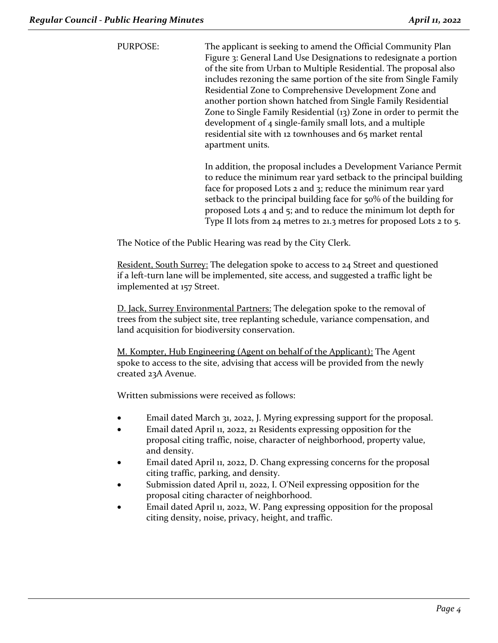PURPOSE: The applicant is seeking to amend the Official Community Plan Figure 3: General Land Use Designations to redesignate a portion of the site from Urban to Multiple Residential. The proposal also includes rezoning the same portion of the site from Single Family Residential Zone to Comprehensive Development Zone and another portion shown hatched from Single Family Residential Zone to Single Family Residential (13) Zone in order to permit the development of 4 single-family small lots, and a multiple residential site with 12 townhouses and 65 market rental apartment units.

> In addition, the proposal includes a Development Variance Permit to reduce the minimum rear yard setback to the principal building face for proposed Lots 2 and 3; reduce the minimum rear yard setback to the principal building face for 50% of the building for proposed Lots 4 and 5; and to reduce the minimum lot depth for Type II lots from 24 metres to 21.3 metres for proposed Lots 2 to 5.

The Notice of the Public Hearing was read by the City Clerk.

Resident, South Surrey: The delegation spoke to access to 24 Street and questioned if a left-turn lane will be implemented, site access, and suggested a traffic light be implemented at 157 Street.

D. Jack, Surrey Environmental Partners: The delegation spoke to the removal of trees from the subject site, tree replanting schedule, variance compensation, and land acquisition for biodiversity conservation.

M. Kompter, Hub Engineering (Agent on behalf of the Applicant): The Agent spoke to access to the site, advising that access will be provided from the newly created 23A Avenue.

Written submissions were received as follows:

- Email dated March 31, 2022, J. Myring expressing support for the proposal.
- Email dated April 11, 2022, 21 Residents expressing opposition for the proposal citing traffic, noise, character of neighborhood, property value, and density.
- Email dated April 11, 2022, D. Chang expressing concerns for the proposal citing traffic, parking, and density.
- Submission dated April 11, 2022, I. O'Neil expressing opposition for the proposal citing character of neighborhood.
- Email dated April 11, 2022, W. Pang expressing opposition for the proposal citing density, noise, privacy, height, and traffic.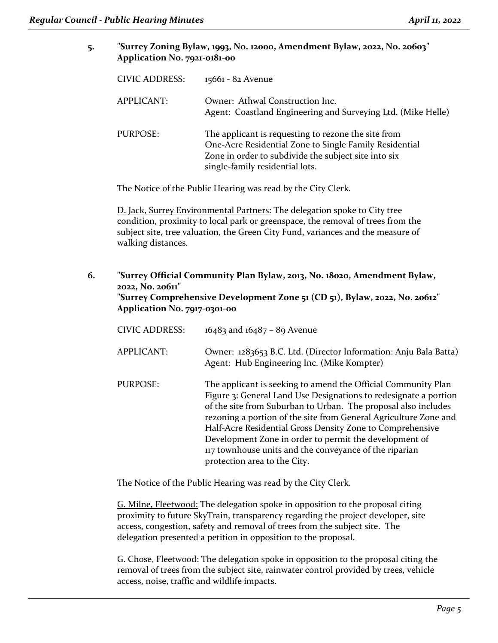**5. "Surrey Zoning Bylaw, 1993, No. 12000, Amendment Bylaw, 2022, No. 20603" Application No. 7921-0181-00**

| <b>CIVIC ADDRESS:</b> | 15661 - 82 Avenue                                                                                                                                                                                        |
|-----------------------|----------------------------------------------------------------------------------------------------------------------------------------------------------------------------------------------------------|
| APPLICANT:            | Owner: Athwal Construction Inc.<br>Agent: Coastland Engineering and Surveying Ltd. (Mike Helle)                                                                                                          |
| PURPOSE:              | The applicant is requesting to rezone the site from<br>One-Acre Residential Zone to Single Family Residential<br>Zone in order to subdivide the subject site into six<br>single-family residential lots. |

The Notice of the Public Hearing was read by the City Clerk.

D. Jack, Surrey Environmental Partners: The delegation spoke to City tree condition, proximity to local park or greenspace, the removal of trees from the subject site, tree valuation, the Green City Fund, variances and the measure of walking distances.

**6. "Surrey Official Community Plan Bylaw, 2013, No. 18020, Amendment Bylaw, 2022, No. 20611" "Surrey Comprehensive Development Zone 51 (CD 51), Bylaw, 2022, No. 20612" Application No. 7917-0301-00**

| <b>CIVIC ADDRESS:</b> | $16483$ and $16487 - 89$ Avenue                                                                                                                                                                                                                                                                                                                                                                                                                                                          |
|-----------------------|------------------------------------------------------------------------------------------------------------------------------------------------------------------------------------------------------------------------------------------------------------------------------------------------------------------------------------------------------------------------------------------------------------------------------------------------------------------------------------------|
| APPLICANT:            | Owner: 1283653 B.C. Ltd. (Director Information: Anju Bala Batta)<br>Agent: Hub Engineering Inc. (Mike Kompter)                                                                                                                                                                                                                                                                                                                                                                           |
| PURPOSE:              | The applicant is seeking to amend the Official Community Plan<br>Figure 3: General Land Use Designations to redesignate a portion<br>of the site from Suburban to Urban. The proposal also includes<br>rezoning a portion of the site from General Agriculture Zone and<br>Half-Acre Residential Gross Density Zone to Comprehensive<br>Development Zone in order to permit the development of<br>117 townhouse units and the conveyance of the riparian<br>protection area to the City. |

The Notice of the Public Hearing was read by the City Clerk.

G. Milne, Fleetwood: The delegation spoke in opposition to the proposal citing proximity to future SkyTrain, transparency regarding the project developer, site access, congestion, safety and removal of trees from the subject site. The delegation presented a petition in opposition to the proposal.

G. Chose, Fleetwood: The delegation spoke in opposition to the proposal citing the removal of trees from the subject site, rainwater control provided by trees, vehicle access, noise, traffic and wildlife impacts.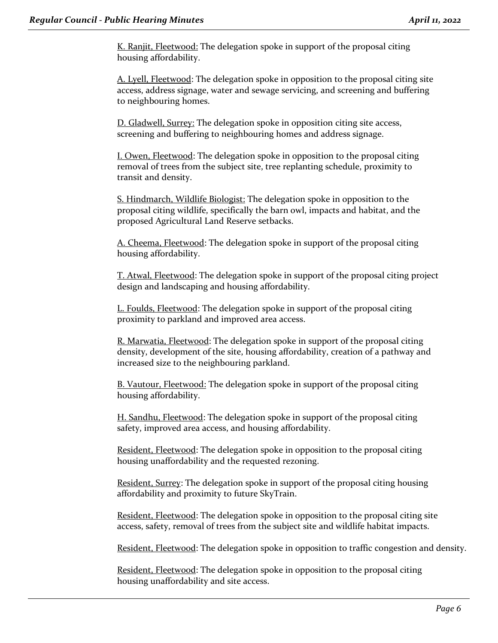K. Ranjit, Fleetwood: The delegation spoke in support of the proposal citing housing affordability.

A. Lyell, Fleetwood: The delegation spoke in opposition to the proposal citing site access, address signage, water and sewage servicing, and screening and buffering to neighbouring homes.

D. Gladwell, Surrey: The delegation spoke in opposition citing site access, screening and buffering to neighbouring homes and address signage.

I. Owen, Fleetwood: The delegation spoke in opposition to the proposal citing removal of trees from the subject site, tree replanting schedule, proximity to transit and density.

S. Hindmarch, Wildlife Biologist: The delegation spoke in opposition to the proposal citing wildlife, specifically the barn owl, impacts and habitat, and the proposed Agricultural Land Reserve setbacks.

A. Cheema, Fleetwood: The delegation spoke in support of the proposal citing housing affordability.

T. Atwal, Fleetwood: The delegation spoke in support of the proposal citing project design and landscaping and housing affordability.

L. Foulds, Fleetwood: The delegation spoke in support of the proposal citing proximity to parkland and improved area access.

R. Marwatia, Fleetwood: The delegation spoke in support of the proposal citing density, development of the site, housing affordability, creation of a pathway and increased size to the neighbouring parkland.

B. Vautour, Fleetwood: The delegation spoke in support of the proposal citing housing affordability.

H. Sandhu, Fleetwood: The delegation spoke in support of the proposal citing safety, improved area access, and housing affordability.

Resident, Fleetwood: The delegation spoke in opposition to the proposal citing housing unaffordability and the requested rezoning.

Resident, Surrey: The delegation spoke in support of the proposal citing housing affordability and proximity to future SkyTrain.

Resident, Fleetwood: The delegation spoke in opposition to the proposal citing site access, safety, removal of trees from the subject site and wildlife habitat impacts.

Resident, Fleetwood: The delegation spoke in opposition to traffic congestion and density.

Resident, Fleetwood: The delegation spoke in opposition to the proposal citing housing unaffordability and site access.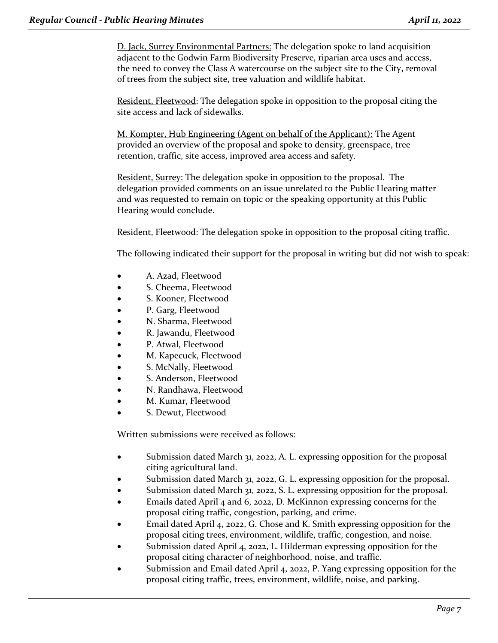D. Jack, Surrey Environmental Partners: The delegation spoke to land acquisition adjacent to the Godwin Farm Biodiversity Preserve, riparian area uses and access, the need to convey the Class A watercourse on the subject site to the City, removal of trees from the subject site, tree valuation and wildlife habitat.

Resident, Fleetwood: The delegation spoke in opposition to the proposal citing the site access and lack of sidewalks.

M. Kompter, Hub Engineering (Agent on behalf of the Applicant): The Agent provided an overview of the proposal and spoke to density, greenspace, tree retention, traffic, site access, improved area access and safety.

Resident, Surrey: The delegation spoke in opposition to the proposal. The delegation provided comments on an issue unrelated to the Public Hearing matter and was requested to remain on topic or the speaking opportunity at this Public Hearing would conclude.

Resident, Fleetwood: The delegation spoke in opposition to the proposal citing traffic.

The following indicated their support for the proposal in writing but did not wish to speak:

- A. Azad, Fleetwood
- S. Cheema, Fleetwood
- S. Kooner, Fleetwood
- P. Garg, Fleetwood
- N. Sharma, Fleetwood
- R. Jawandu, Fleetwood
- P. Atwal, Fleetwood
- M. Kapecuck, Fleetwood
- S. McNally, Fleetwood
- S. Anderson, Fleetwood
- N. Randhawa, Fleetwood
- M. Kumar, Fleetwood
- S. Dewut, Fleetwood

Written submissions were received as follows:

- Submission dated March 31, 2022, A. L. expressing opposition for the proposal citing agricultural land.
- Submission dated March 31, 2022, G. L. expressing opposition for the proposal.
- Submission dated March 31, 2022, S. L. expressing opposition for the proposal.
- Emails dated April 4 and 6, 2022, D. McKinnon expressing concerns for the proposal citing traffic, congestion, parking, and crime.
- Email dated April 4, 2022, G. Chose and K. Smith expressing opposition for the proposal citing trees, environment, wildlife, traffic, congestion, and noise.
- Submission dated April 4, 2022, L. Hilderman expressing opposition for the proposal citing character of neighborhood, noise, and traffic.
- Submission and Email dated April 4, 2022, P. Yang expressing opposition for the proposal citing traffic, trees, environment, wildlife, noise, and parking.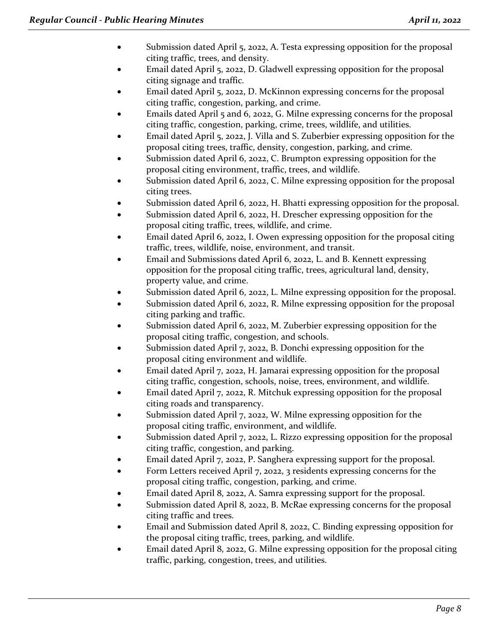- Submission dated April 5, 2022, A. Testa expressing opposition for the proposal citing traffic, trees, and density.
- Email dated April 5, 2022, D. Gladwell expressing opposition for the proposal citing signage and traffic.
- Email dated April 5, 2022, D. McKinnon expressing concerns for the proposal citing traffic, congestion, parking, and crime.
- Emails dated April 5 and 6, 2022, G. Milne expressing concerns for the proposal citing traffic, congestion, parking, crime, trees, wildlife, and utilities.
- Email dated April 5, 2022, J. Villa and S. Zuberbier expressing opposition for the proposal citing trees, traffic, density, congestion, parking, and crime.
- Submission dated April 6, 2022, C. Brumpton expressing opposition for the proposal citing environment, traffic, trees, and wildlife.
- Submission dated April 6, 2022, C. Milne expressing opposition for the proposal citing trees.
- Submission dated April 6, 2022, H. Bhatti expressing opposition for the proposal.
- Submission dated April 6, 2022, H. Drescher expressing opposition for the proposal citing traffic, trees, wildlife, and crime.
- Email dated April 6, 2022, I. Owen expressing opposition for the proposal citing traffic, trees, wildlife, noise, environment, and transit.
- Email and Submissions dated April 6, 2022, L. and B. Kennett expressing opposition for the proposal citing traffic, trees, agricultural land, density, property value, and crime.
- Submission dated April 6, 2022, L. Milne expressing opposition for the proposal.
- Submission dated April 6, 2022, R. Milne expressing opposition for the proposal citing parking and traffic.
- Submission dated April 6, 2022, M. Zuberbier expressing opposition for the proposal citing traffic, congestion, and schools.
- Submission dated April 7, 2022, B. Donchi expressing opposition for the proposal citing environment and wildlife.
- Email dated April 7, 2022, H. Jamarai expressing opposition for the proposal citing traffic, congestion, schools, noise, trees, environment, and wildlife.
- Email dated April 7, 2022, R. Mitchuk expressing opposition for the proposal citing roads and transparency.
- Submission dated April 7, 2022, W. Milne expressing opposition for the proposal citing traffic, environment, and wildlife.
- Submission dated April 7, 2022, L. Rizzo expressing opposition for the proposal citing traffic, congestion, and parking.
- Email dated April 7, 2022, P. Sanghera expressing support for the proposal.
- Form Letters received April 7, 2022, 3 residents expressing concerns for the proposal citing traffic, congestion, parking, and crime.
- Email dated April 8, 2022, A. Samra expressing support for the proposal.
- Submission dated April 8, 2022, B. McRae expressing concerns for the proposal citing traffic and trees.
- Email and Submission dated April 8, 2022, C. Binding expressing opposition for the proposal citing traffic, trees, parking, and wildlife.
- Email dated April 8, 2022, G. Milne expressing opposition for the proposal citing traffic, parking, congestion, trees, and utilities.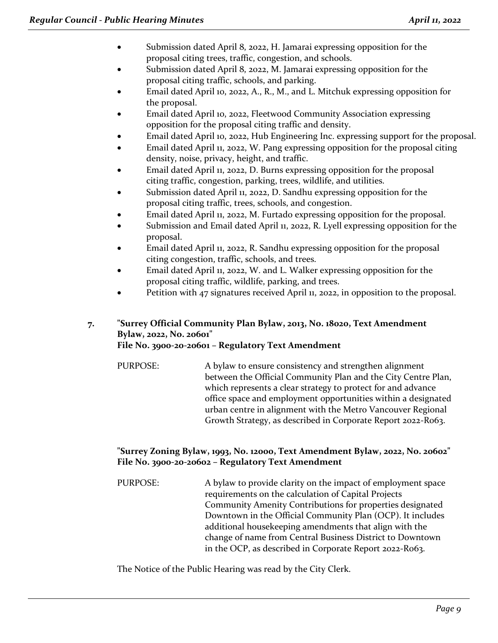- Submission dated April 8, 2022, H. Jamarai expressing opposition for the proposal citing trees, traffic, congestion, and schools.
- Submission dated April 8, 2022, M. Jamarai expressing opposition for the proposal citing traffic, schools, and parking.
- Email dated April 10, 2022, A., R., M., and L. Mitchuk expressing opposition for the proposal.
- Email dated April 10, 2022, Fleetwood Community Association expressing opposition for the proposal citing traffic and density.
- Email dated April 10, 2022, Hub Engineering Inc. expressing support for the proposal.
- Email dated April 11, 2022, W. Pang expressing opposition for the proposal citing density, noise, privacy, height, and traffic.
- Email dated April 11, 2022, D. Burns expressing opposition for the proposal citing traffic, congestion, parking, trees, wildlife, and utilities.
- Submission dated April 11, 2022, D. Sandhu expressing opposition for the proposal citing traffic, trees, schools, and congestion.
- Email dated April 11, 2022, M. Furtado expressing opposition for the proposal.
- Submission and Email dated April 11, 2022, R. Lyell expressing opposition for the proposal.
- Email dated April 11, 2022, R. Sandhu expressing opposition for the proposal citing congestion, traffic, schools, and trees.
- Email dated April 11, 2022, W. and L. Walker expressing opposition for the proposal citing traffic, wildlife, parking, and trees.
- Petition with 47 signatures received April 11, 2022, in opposition to the proposal.

## **7. "Surrey Official Community Plan Bylaw, 2013, No. 18020, Text Amendment Bylaw, 2022, No. 20601" File No. 3900-20-20601 – Regulatory Text Amendment**

PURPOSE: A bylaw to ensure consistency and strengthen alignment between the Official Community Plan and the City Centre Plan, which represents a clear strategy to protect for and advance office space and employment opportunities within a designated urban centre in alignment with the Metro Vancouver Regional Growth Strategy, as described in Corporate Report 2022-R063.

# **"Surrey Zoning Bylaw, 1993, No. 12000, Text Amendment Bylaw, 2022, No. 20602" File No. 3900-20-20602 – Regulatory Text Amendment**

PURPOSE: A bylaw to provide clarity on the impact of employment space requirements on the calculation of Capital Projects Community Amenity Contributions for properties designated Downtown in the Official Community Plan (OCP). It includes additional housekeeping amendments that align with the change of name from Central Business District to Downtown in the OCP, as described in Corporate Report 2022-R063.

The Notice of the Public Hearing was read by the City Clerk.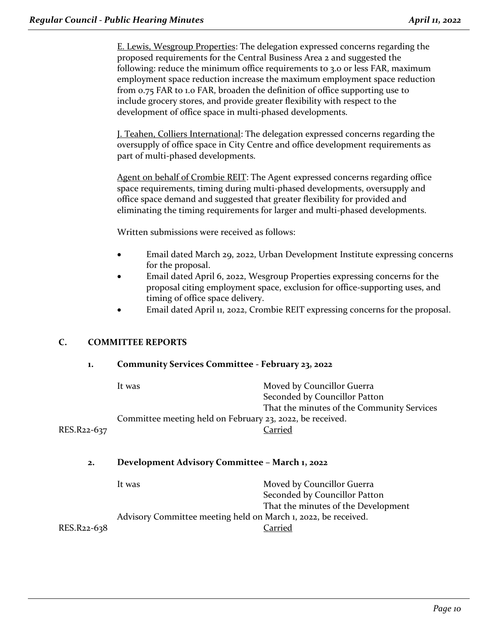E. Lewis, Wesgroup Properties: The delegation expressed concerns regarding the proposed requirements for the Central Business Area 2 and suggested the following: reduce the minimum office requirements to 3.0 or less FAR, maximum employment space reduction increase the maximum employment space reduction from 0.75 FAR to 1.0 FAR, broaden the definition of office supporting use to include grocery stores, and provide greater flexibility with respect to the development of office space in multi-phased developments.

J. Teahen, Colliers International: The delegation expressed concerns regarding the oversupply of office space in City Centre and office development requirements as part of multi-phased developments.

Agent on behalf of Crombie REIT: The Agent expressed concerns regarding office space requirements, timing during multi-phased developments, oversupply and office space demand and suggested that greater flexibility for provided and eliminating the timing requirements for larger and multi-phased developments.

Written submissions were received as follows:

- Email dated March 29, 2022, Urban Development Institute expressing concerns for the proposal.
- Email dated April 6, 2022, Wesgroup Properties expressing concerns for the proposal citing employment space, exclusion for office-supporting uses, and timing of office space delivery.
- Email dated April 11, 2022, Crombie REIT expressing concerns for the proposal.

## **C. COMMITTEE REPORTS**

| 1.          | Community Services Committee - February 23, 2022               |                                                             |  |
|-------------|----------------------------------------------------------------|-------------------------------------------------------------|--|
|             | It was                                                         | Moved by Councillor Guerra<br>Seconded by Councillor Patton |  |
|             |                                                                | That the minutes of the Community Services                  |  |
|             | Committee meeting held on February 23, 2022, be received.      |                                                             |  |
| RES.R22-637 |                                                                | Carried                                                     |  |
| 2.          | Development Advisory Committee - March 1, 2022                 |                                                             |  |
|             | It was                                                         | Moved by Councillor Guerra                                  |  |
|             |                                                                | Seconded by Councillor Patton                               |  |
|             |                                                                | That the minutes of the Development                         |  |
|             | Advisory Committee meeting held on March 1, 2022, be received. |                                                             |  |
| RES.R22-638 |                                                                | Carried                                                     |  |
|             |                                                                |                                                             |  |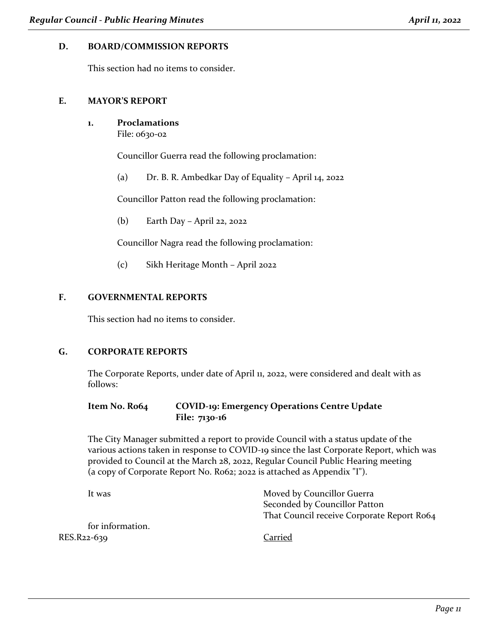## **D. BOARD/COMMISSION REPORTS**

This section had no items to consider.

#### **E. MAYOR'S REPORT**

**1. Proclamations**

File: 0630-02

Councillor Guerra read the following proclamation:

(a) Dr. B. R. Ambedkar Day of Equality – April 14, 2022

Councillor Patton read the following proclamation:

(b) Earth Day – April 22, 2022

Councillor Nagra read the following proclamation:

(c) Sikh Heritage Month – April 2022

## **F. GOVERNMENTAL REPORTS**

This section had no items to consider.

## **G. CORPORATE REPORTS**

The Corporate Reports, under date of April 11, 2022, were considered and dealt with as follows:

## **Item No. R064 COVID-19: Emergency Operations Centre Update File: 7130-16**

The City Manager submitted a report to provide Council with a status update of the various actions taken in response to COVID-19 since the last Corporate Report, which was provided to Council at the March 28, 2022, Regular Council Public Hearing meeting (a copy of Corporate Report No. R062; 2022 is attached as Appendix "I").

| It was           | Moved by Councillor Guerra                 |
|------------------|--------------------------------------------|
|                  | Seconded by Councillor Patton              |
|                  | That Council receive Corporate Report Ro64 |
| for information. |                                            |
| RES.R22-639      | Carried                                    |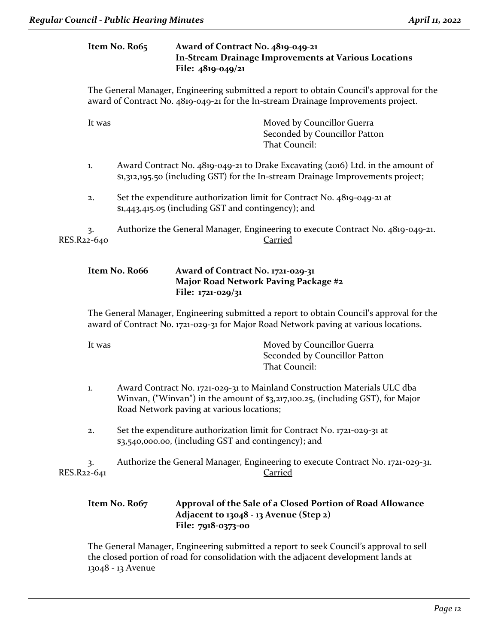|             |        | Item No. Ro65 | Award of Contract No. 4819-049-21<br>In-Stream Drainage Improvements at Various Locations<br>File: 4819-049/21                                                                                           |
|-------------|--------|---------------|----------------------------------------------------------------------------------------------------------------------------------------------------------------------------------------------------------|
|             |        |               | The General Manager, Engineering submitted a report to obtain Council's approval for the<br>award of Contract No. 4819-049-21 for the In-stream Drainage Improvements project.                           |
|             | It was |               | Moved by Councillor Guerra<br>Seconded by Councillor Patton<br>That Council:                                                                                                                             |
|             | 1.     |               | Award Contract No. 4819-049-21 to Drake Excavating (2016) Ltd. in the amount of<br>\$1,312,195.50 (including GST) for the In-stream Drainage Improvements project;                                       |
|             | 2.     |               | Set the expenditure authorization limit for Contract No. 4819-049-21 at<br>\$1,443,415.05 (including GST and contingency); and                                                                           |
| RES.R22-640 | 3.     |               | Authorize the General Manager, Engineering to execute Contract No. 4819-049-21.<br>Carried                                                                                                               |
|             |        | Item No. Ro66 | Award of Contract No. 1721-029-31<br>Major Road Network Paving Package #2<br>File: 1721-029/31                                                                                                           |
|             |        |               | The General Manager, Engineering submitted a report to obtain Council's approval for the<br>award of Contract No. 1721-029-31 for Major Road Network paving at various locations.                        |
|             | It was |               | Moved by Councillor Guerra<br>Seconded by Councillor Patton<br>That Council:                                                                                                                             |
|             | 1.     |               | Award Contract No. 1721-029-31 to Mainland Construction Materials ULC dba<br>Winvan, ("Winvan") in the amount of \$3,217,100.25, (including GST), for Major<br>Road Network paving at various locations; |
|             | 2.     |               | Set the expenditure authorization limit for Contract No. 1721-029-31 at<br>\$3,540,000.00, (including GST and contingency); and                                                                          |
| RES.R22-641 | 3.     |               | Authorize the General Manager, Engineering to execute Contract No. 1721-029-31.<br><b>Carried</b>                                                                                                        |

## **Item No. R067 Approval of the Sale of a Closed Portion of Road Allowance Adjacent to 13048 - 13 Avenue (Step 2) File: 7918-0373-00**

The General Manager, Engineering submitted a report to seek Council's approval to sell the closed portion of road for consolidation with the adjacent development lands at 13048 - 13 Avenue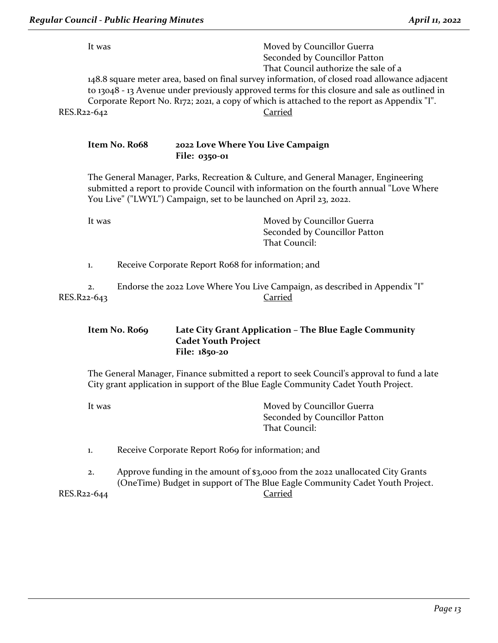|             | Regular Council - Public Hearing Minutes | April 11, 2022                                                                                                                                                                                                                                                                                                                                          |
|-------------|------------------------------------------|---------------------------------------------------------------------------------------------------------------------------------------------------------------------------------------------------------------------------------------------------------------------------------------------------------------------------------------------------------|
|             | It was                                   | Moved by Councillor Guerra<br>Seconded by Councillor Patton                                                                                                                                                                                                                                                                                             |
| RES.R22-642 |                                          | That Council authorize the sale of a<br>148.8 square meter area, based on final survey information, of closed road allowance adjacent<br>to 13048 - 13 Avenue under previously approved terms for this closure and sale as outlined in<br>Corporate Report No. R172; 2021, a copy of which is attached to the report as Appendix "I".<br><u>Carried</u> |
|             | Item No. Ro68                            | 2022 Love Where You Live Campaign<br>File: 0350-01                                                                                                                                                                                                                                                                                                      |
|             |                                          | The General Manager, Parks, Recreation & Culture, and General Manager, Engineering<br>submitted a report to provide Council with information on the fourth annual "Love Where<br>You Live" ("LWYL") Campaign, set to be launched on April 23, 2022.                                                                                                     |
|             | It was                                   | Moved by Councillor Guerra<br>Seconded by Councillor Patton<br>That Council:                                                                                                                                                                                                                                                                            |
|             | 1.                                       | Receive Corporate Report Ro68 for information; and                                                                                                                                                                                                                                                                                                      |
| RES.R22-643 | 2.                                       | Endorse the 2022 Love Where You Live Campaign, as described in Appendix "I"<br><b>Carried</b>                                                                                                                                                                                                                                                           |
|             | Item No. Ro69                            | Late City Grant Application - The Blue Eagle Community<br><b>Cadet Youth Project</b><br>File: 1850-20                                                                                                                                                                                                                                                   |

The General Manager, Finance submitted a report to seek Council's approval to fund a late City grant application in support of the Blue Eagle Community Cadet Youth Project.

| Moved by Councillor Guerra    |
|-------------------------------|
| Seconded by Councillor Patton |
| That Council:                 |
|                               |

1. Receive Corporate Report Ro69 for information; and

2. Approve funding in the amount of \$3,000 from the 2022 unallocated City Grants (OneTime) Budget in support of The Blue Eagle Community Cadet Youth Project. RES.R22-644 Carried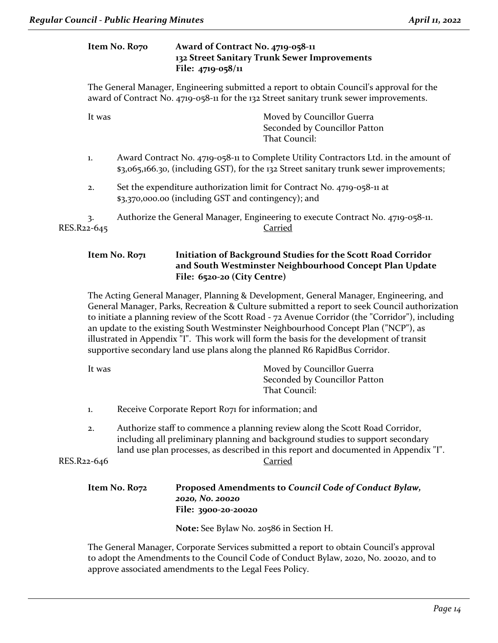## **Item No. R070 Award of Contract No. 4719-058-11 132 Street Sanitary Trunk Sewer Improvements File: 4719-058/11**

The General Manager, Engineering submitted a report to obtain Council's approval for the award of Contract No. 4719-058-11 for the 132 Street sanitary trunk sewer improvements.

| It was            | Moved by Councillor Guerra<br>Seconded by Councillor Patton<br>That Council:                                                                                                   |
|-------------------|--------------------------------------------------------------------------------------------------------------------------------------------------------------------------------|
|                   |                                                                                                                                                                                |
| 1.                | Award Contract No. 4719-058-11 to Complete Utility Contractors Ltd. in the amount of<br>\$3,065,166.30, (including GST), for the 132 Street sanitary trunk sewer improvements; |
| 2.                | Set the expenditure authorization limit for Contract No. 4719-058-11 at<br>\$3,370,000.00 (including GST and contingency); and                                                 |
| 3.<br>RES.R22-645 | Authorize the General Manager, Engineering to execute Contract No. 4719-058-11.<br>Carried                                                                                     |

## **Item No. R071 Initiation of Background Studies for the Scott Road Corridor and South Westminster Neighbourhood Concept Plan Update File: 6520-20 (City Centre)**

The Acting General Manager, Planning & Development, General Manager, Engineering, and General Manager, Parks, Recreation & Culture submitted a report to seek Council authorization to initiate a planning review of the Scott Road - 72 Avenue Corridor (the "Corridor"), including an update to the existing South Westminster Neighbourhood Concept Plan ("NCP"), as illustrated in Appendix "I". This work will form the basis for the development of transit supportive secondary land use plans along the planned R6 RapidBus Corridor.

| It was | Moved by Councillor Guerra    |
|--------|-------------------------------|
|        | Seconded by Councillor Patton |
|        | That Council:                 |
|        |                               |

- 1. Receive Corporate Report R071 for information; and
- 2. Authorize staff to commence a planning review along the Scott Road Corridor, including all preliminary planning and background studies to support secondary land use plan processes, as described in this report and documented in Appendix "I". RES.R22-646 Carried

| Item No. Ro72 | Proposed Amendments to Council Code of Conduct Bylaw, |
|---------------|-------------------------------------------------------|
|               | 2020, No. 20020                                       |
|               | <b>File: 3900-20-20020</b>                            |

**Note:** See Bylaw No. 20586 in Section H.

The General Manager, Corporate Services submitted a report to obtain Council's approval to adopt the Amendments to the Council Code of Conduct Bylaw, 2020, No. 20020, and to approve associated amendments to the Legal Fees Policy.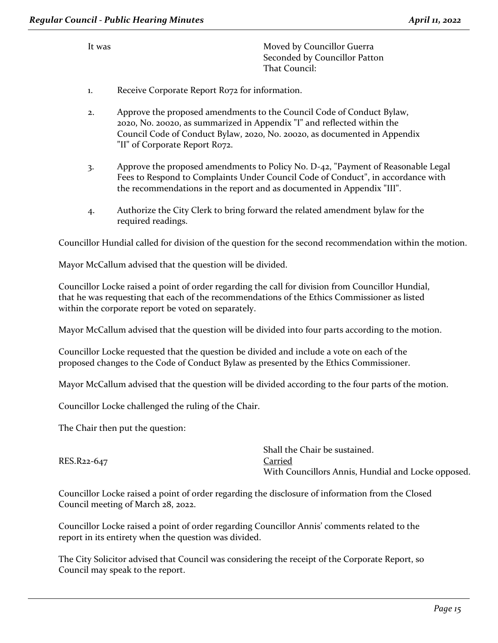It was **Moved by Councillor Guerra** Seconded by Councillor Patton That Council:

- 1. Receive Corporate Report R072 for information.
- 2. Approve the proposed amendments to the Council Code of Conduct Bylaw, 2020, No. 20020, as summarized in Appendix "I" and reflected within the Council Code of Conduct Bylaw, 2020, No. 20020, as documented in Appendix "II" of Corporate Report R072.
- 3. Approve the proposed amendments to Policy No. D-42, "Payment of Reasonable Legal Fees to Respond to Complaints Under Council Code of Conduct", in accordance with the recommendations in the report and as documented in Appendix "III".
- 4. Authorize the City Clerk to bring forward the related amendment bylaw for the required readings.

Councillor Hundial called for division of the question for the second recommendation within the motion.

Mayor McCallum advised that the question will be divided.

Councillor Locke raised a point of order regarding the call for division from Councillor Hundial, that he was requesting that each of the recommendations of the Ethics Commissioner as listed within the corporate report be voted on separately.

Mayor McCallum advised that the question will be divided into four parts according to the motion.

Councillor Locke requested that the question be divided and include a vote on each of the proposed changes to the Code of Conduct Bylaw as presented by the Ethics Commissioner.

Mayor McCallum advised that the question will be divided according to the four parts of the motion.

Councillor Locke challenged the ruling of the Chair.

The Chair then put the question:

|             | Shall the Chair be sustained.                      |
|-------------|----------------------------------------------------|
| RES.R22-647 | Carried                                            |
|             | With Councillors Annis, Hundial and Locke opposed. |

Councillor Locke raised a point of order regarding the disclosure of information from the Closed Council meeting of March 28, 2022.

Councillor Locke raised a point of order regarding Councillor Annis' comments related to the report in its entirety when the question was divided.

The City Solicitor advised that Council was considering the receipt of the Corporate Report, so Council may speak to the report.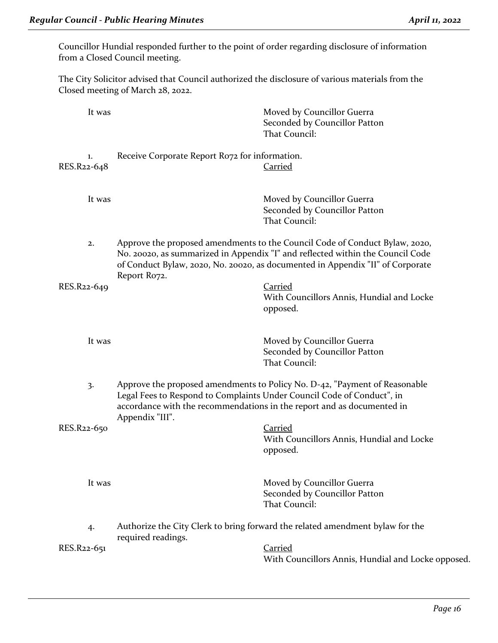Councillor Hundial responded further to the point of order regarding disclosure of information from a Closed Council meeting.

The City Solicitor advised that Council authorized the disclosure of various materials from the Closed meeting of March 28, 2022.

|             | It was |                                                                                           | Moved by Councillor Guerra<br>Seconded by Councillor Patton<br>That Council:                                                                                                                                                                    |
|-------------|--------|-------------------------------------------------------------------------------------------|-------------------------------------------------------------------------------------------------------------------------------------------------------------------------------------------------------------------------------------------------|
| RES.R22-648 | 1.     | Receive Corporate Report Rozz for information.                                            | <b>Carried</b>                                                                                                                                                                                                                                  |
|             | It was |                                                                                           | Moved by Councillor Guerra<br>Seconded by Councillor Patton<br>That Council:                                                                                                                                                                    |
|             | 2.     | Report Ro72.                                                                              | Approve the proposed amendments to the Council Code of Conduct Bylaw, 2020,<br>No. 20020, as summarized in Appendix "I" and reflected within the Council Code<br>of Conduct Bylaw, 2020, No. 20020, as documented in Appendix "II" of Corporate |
| RES.R22-649 |        |                                                                                           | <b>Carried</b><br>With Councillors Annis, Hundial and Locke<br>opposed.                                                                                                                                                                         |
|             | It was |                                                                                           | Moved by Councillor Guerra<br>Seconded by Councillor Patton<br>That Council:                                                                                                                                                                    |
|             | 3.     | Legal Fees to Respond to Complaints Under Council Code of Conduct", in<br>Appendix "III". | Approve the proposed amendments to Policy No. D-42, "Payment of Reasonable<br>accordance with the recommendations in the report and as documented in                                                                                            |
| RES.R22-650 |        |                                                                                           | <b>Carried</b><br>With Councillors Annis, Hundial and Locke<br>opposed.                                                                                                                                                                         |
|             | It was |                                                                                           | Moved by Councillor Guerra<br>Seconded by Councillor Patton<br>That Council:                                                                                                                                                                    |
|             | 4.     | required readings.                                                                        | Authorize the City Clerk to bring forward the related amendment bylaw for the                                                                                                                                                                   |
| RES.R22-651 |        |                                                                                           | <b>Carried</b><br>With Councillors Annis, Hundial and Locke opposed.                                                                                                                                                                            |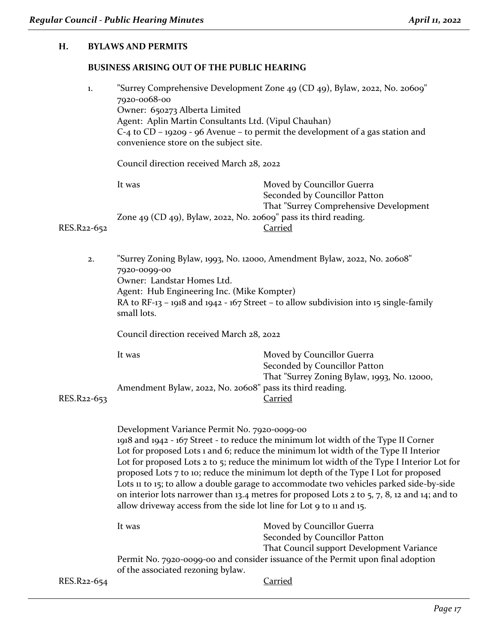#### **H. BYLAWS AND PERMITS**

#### **BUSINESS ARISING OUT OF THE PUBLIC HEARING**

| "Surrey Comprehensive Development Zone 49 (CD 49), Bylaw, 2022, No. 20609"<br>1.<br>7920-0068-00<br>Owner: 650273 Alberta Limited<br>Agent: Aplin Martin Consultants Ltd. (Vipul Chauhan)<br>$C$ -4 to $CD$ – 19209 - 96 Avenue – to permit the development of a gas station and<br>convenience store on the subject site. |                                                                  |                                                                     |
|----------------------------------------------------------------------------------------------------------------------------------------------------------------------------------------------------------------------------------------------------------------------------------------------------------------------------|------------------------------------------------------------------|---------------------------------------------------------------------|
|                                                                                                                                                                                                                                                                                                                            | Council direction received March 28, 2022                        |                                                                     |
|                                                                                                                                                                                                                                                                                                                            | It was                                                           | Moved by Councillor Guerra<br>Seconded by Councillor Patton         |
| RES.R22-652                                                                                                                                                                                                                                                                                                                | Zone 49 (CD 49), Bylaw, 2022, No. 20609" pass its third reading. | That "Surrey Comprehensive Development"<br>Carried                  |
|                                                                                                                                                                                                                                                                                                                            |                                                                  | "Surrey Zoning Rylaw 1002 No. 12000 Amendment Rylaw 2022 No. 20608" |

2. "Surrey Zoning Bylaw, 1993, No. 12000, Amendment Bylaw, 2022, No. 20608" 7920-0099-00 Owner: Landstar Homes Ltd. Agent: Hub Engineering Inc. (Mike Kompter) RA to RF-13 – 1918 and 1942 - 167 Street – to allow subdivision into 15 single-family small lots.

Council direction received March 28, 2022

| It was                                                    | Moved by Councillor Guerra                  |
|-----------------------------------------------------------|---------------------------------------------|
|                                                           | Seconded by Councillor Patton               |
|                                                           | That "Surrey Zoning Bylaw, 1993, No. 12000, |
| Amendment Bylaw, 2022, No. 20608" pass its third reading. |                                             |
|                                                           | Carried                                     |

RES.R<sub>22-653</sub>

Development Variance Permit No. 7920-0099-00 1918 and 1942 - 167 Street - to reduce the minimum lot width of the Type II Corner Lot for proposed Lots 1 and 6; reduce the minimum lot width of the Type II Interior Lot for proposed Lots 2 to 5; reduce the minimum lot width of the Type I Interior Lot for proposed Lots 7 to 10; reduce the minimum lot depth of the Type I Lot for proposed Lots 11 to 15; to allow a double garage to accommodate two vehicles parked side-by-side on interior lots narrower than 13.4 metres for proposed Lots 2 to 5, 7, 8, 12 and 14; and to allow driveway access from the side lot line for Lot 9 to 11 and 15.

|                          | It was                            | Moved by Councillor Guerra                                                      |
|--------------------------|-----------------------------------|---------------------------------------------------------------------------------|
|                          |                                   | Seconded by Councillor Patton                                                   |
|                          |                                   | That Council support Development Variance                                       |
|                          |                                   | Permit No. 7920-0099-00 and consider issuance of the Permit upon final adoption |
|                          | of the associated rezoning bylaw. |                                                                                 |
| RES.R <sub>22</sub> -654 |                                   | Carried                                                                         |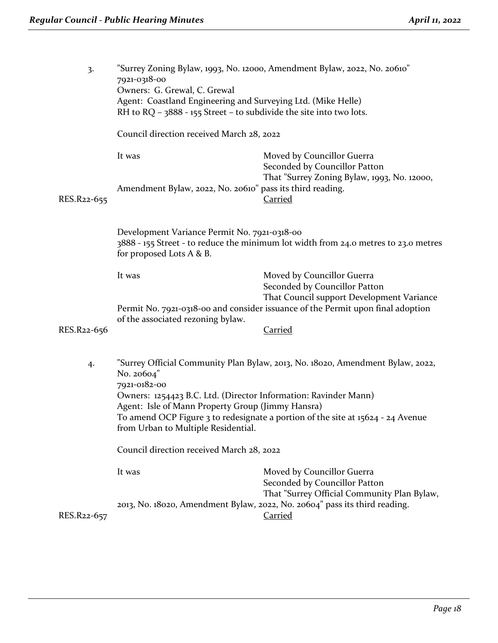| 3.          | 7921-0318-00<br>Owners: G. Grewal, C. Grewal<br>Agent: Coastland Engineering and Surveying Ltd. (Mike Helle)<br>RH to RQ $-$ 3888 - 155 Street – to subdivide the site into two lots.                                                          | "Surrey Zoning Bylaw, 1993, No. 12000, Amendment Bylaw, 2022, No. 20610"                                   |  |
|-------------|------------------------------------------------------------------------------------------------------------------------------------------------------------------------------------------------------------------------------------------------|------------------------------------------------------------------------------------------------------------|--|
|             | Council direction received March 28, 2022                                                                                                                                                                                                      |                                                                                                            |  |
|             | It was                                                                                                                                                                                                                                         | Moved by Councillor Guerra<br>Seconded by Councillor Patton                                                |  |
| RES.R22-655 | Amendment Bylaw, 2022, No. 20610" pass its third reading.                                                                                                                                                                                      | That "Surrey Zoning Bylaw, 1993, No. 12000,<br><b>Carried</b>                                              |  |
|             | Development Variance Permit No. 7921-0318-00<br>3888 - 155 Street - to reduce the minimum lot width from 24.0 metres to 23.0 metres<br>for proposed Lots A & B.                                                                                |                                                                                                            |  |
|             | It was                                                                                                                                                                                                                                         | Moved by Councillor Guerra<br>Seconded by Councillor Patton<br>That Council support Development Variance   |  |
|             | of the associated rezoning bylaw.                                                                                                                                                                                                              | Permit No. 7921-0318-00 and consider issuance of the Permit upon final adoption                            |  |
| RES.R22-656 |                                                                                                                                                                                                                                                | <b>Carried</b>                                                                                             |  |
| 4.          | "Surrey Official Community Plan Bylaw, 2013, No. 18020, Amendment Bylaw, 2022,<br>No. 20604"<br>7921-0182-00                                                                                                                                   |                                                                                                            |  |
|             | Owners: 1254423 B.C. Ltd. (Director Information: Ravinder Mann)<br>Agent: Isle of Mann Property Group (Jimmy Hansra)<br>To amend OCP Figure 3 to redesignate a portion of the site at 15624 - 24 Avenue<br>from Urban to Multiple Residential. |                                                                                                            |  |
|             | Council direction received March 28, 2022                                                                                                                                                                                                      |                                                                                                            |  |
|             | It was                                                                                                                                                                                                                                         | Moved by Councillor Guerra<br>Seconded by Councillor Patton<br>That "Surrey Official Community Plan Bylaw, |  |
| RES.R22-657 |                                                                                                                                                                                                                                                | 2013, No. 18020, Amendment Bylaw, 2022, No. 20604" pass its third reading.<br><b>Carried</b>               |  |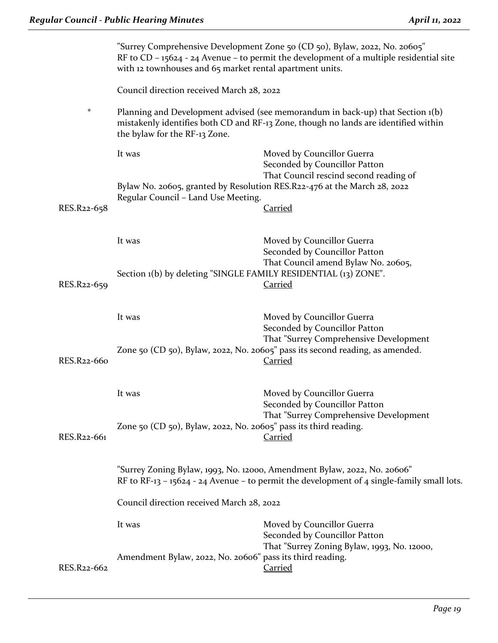|                                                                                                                                                                                                                    | "Surrey Comprehensive Development Zone 50 (CD 50), Bylaw, 2022, No. 20605"<br>RF to CD - 15624 - 24 Avenue - to permit the development of a multiple residential site<br>with 12 townhouses and 65 market rental apartment units. |                                                                                                       |  |
|--------------------------------------------------------------------------------------------------------------------------------------------------------------------------------------------------------------------|-----------------------------------------------------------------------------------------------------------------------------------------------------------------------------------------------------------------------------------|-------------------------------------------------------------------------------------------------------|--|
|                                                                                                                                                                                                                    |                                                                                                                                                                                                                                   | Council direction received March 28, 2022                                                             |  |
| $^\star$<br>Planning and Development advised (see memorandum in back-up) that Section 1(b)<br>mistakenly identifies both CD and RF-13 Zone, though no lands are identified within<br>the bylaw for the RF-13 Zone. |                                                                                                                                                                                                                                   |                                                                                                       |  |
|                                                                                                                                                                                                                    | It was                                                                                                                                                                                                                            | Moved by Councillor Guerra<br>Seconded by Councillor Patton                                           |  |
| Bylaw No. 20605, granted by Resolution RES.R22-476 at the March 28, 2022<br>Regular Council - Land Use Meeting.                                                                                                    |                                                                                                                                                                                                                                   | That Council rescind second reading of                                                                |  |
| RES.R22-658                                                                                                                                                                                                        |                                                                                                                                                                                                                                   | <b>Carried</b>                                                                                        |  |
|                                                                                                                                                                                                                    | It was                                                                                                                                                                                                                            | Moved by Councillor Guerra<br>Seconded by Councillor Patton                                           |  |
| RES.R22-659                                                                                                                                                                                                        | Section 1(b) by deleting "SINGLE FAMILY RESIDENTIAL (13) ZONE".                                                                                                                                                                   | That Council amend Bylaw No. 20605,<br><b>Carried</b>                                                 |  |
|                                                                                                                                                                                                                    | It was                                                                                                                                                                                                                            | Moved by Councillor Guerra<br>Seconded by Councillor Patton<br>That "Surrey Comprehensive Development |  |
| RES.R22-660                                                                                                                                                                                                        |                                                                                                                                                                                                                                   | Zone 50 (CD 50), Bylaw, 2022, No. 20605" pass its second reading, as amended.<br><b>Carried</b>       |  |
|                                                                                                                                                                                                                    | It was                                                                                                                                                                                                                            | Moved by Councillor Guerra<br>Seconded by Councillor Patton                                           |  |
| RES.R22-661                                                                                                                                                                                                        | Zone 50 (CD 50), Bylaw, 2022, No. 20605" pass its third reading.                                                                                                                                                                  | That "Surrey Comprehensive Development<br><b>Carried</b>                                              |  |
| "Surrey Zoning Bylaw, 1993, No. 12000, Amendment Bylaw, 2022, No. 20606"<br>RF to RF-13 - 15624 - 24 Avenue - to permit the development of 4 single-family small lots.                                             |                                                                                                                                                                                                                                   |                                                                                                       |  |
|                                                                                                                                                                                                                    | Council direction received March 28, 2022                                                                                                                                                                                         |                                                                                                       |  |
|                                                                                                                                                                                                                    | It was                                                                                                                                                                                                                            | Moved by Councillor Guerra<br>Seconded by Councillor Patton                                           |  |
| RES.R22-662                                                                                                                                                                                                        | Amendment Bylaw, 2022, No. 20606" pass its third reading.                                                                                                                                                                         | That "Surrey Zoning Bylaw, 1993, No. 12000,<br><b>Carried</b>                                         |  |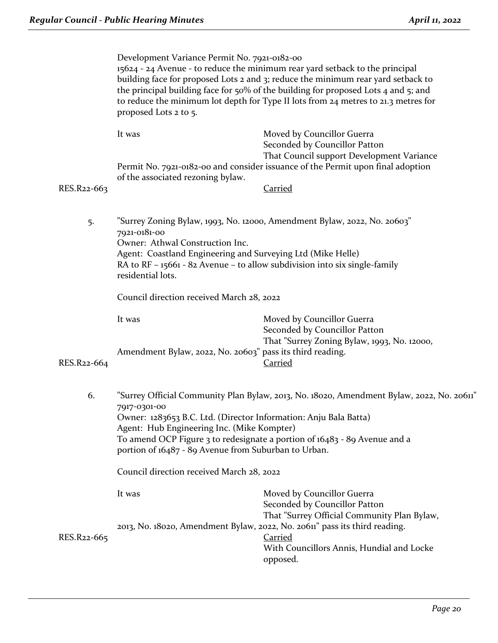|             | Development Variance Permit No. 7921-0182-00<br>15624 - 24 Avenue - to reduce the minimum rear yard setback to the principal<br>building face for proposed Lots 2 and 3; reduce the minimum rear yard setback to<br>the principal building face for $50\%$ of the building for proposed Lots 4 and 5; and<br>to reduce the minimum lot depth for Type II lots from 24 metres to 21.3 metres for<br>proposed Lots 2 to 5. |                                                                                                                                                                                             |  |
|-------------|--------------------------------------------------------------------------------------------------------------------------------------------------------------------------------------------------------------------------------------------------------------------------------------------------------------------------------------------------------------------------------------------------------------------------|---------------------------------------------------------------------------------------------------------------------------------------------------------------------------------------------|--|
|             | It was                                                                                                                                                                                                                                                                                                                                                                                                                   | Moved by Councillor Guerra<br>Seconded by Councillor Patton<br>That Council support Development Variance<br>Permit No. 7921-0182-00 and consider issuance of the Permit upon final adoption |  |
| RES.R22-663 | of the associated rezoning bylaw.                                                                                                                                                                                                                                                                                                                                                                                        | <b>Carried</b>                                                                                                                                                                              |  |
| 5.          | "Surrey Zoning Bylaw, 1993, No. 12000, Amendment Bylaw, 2022, No. 20603"<br>7921-0181-00<br>Owner: Athwal Construction Inc.<br>Agent: Coastland Engineering and Surveying Ltd (Mike Helle)<br>RA to RF - 15661 - 82 Avenue - to allow subdivision into six single-family<br>residential lots.                                                                                                                            |                                                                                                                                                                                             |  |
|             | Council direction received March 28, 2022                                                                                                                                                                                                                                                                                                                                                                                |                                                                                                                                                                                             |  |
|             | It was                                                                                                                                                                                                                                                                                                                                                                                                                   | Moved by Councillor Guerra<br>Seconded by Councillor Patton<br>That "Surrey Zoning Bylaw, 1993, No. 12000,                                                                                  |  |
| RES.R22-664 | Amendment Bylaw, 2022, No. 20603" pass its third reading.                                                                                                                                                                                                                                                                                                                                                                | <b>Carried</b>                                                                                                                                                                              |  |
| 6.          | "Surrey Official Community Plan Bylaw, 2013, No. 18020, Amendment Bylaw, 2022, No. 20611"<br>7917-0301-00<br>Owner: 1283653 B.C. Ltd. (Director Information: Anju Bala Batta)<br>Agent: Hub Engineering Inc. (Mike Kompter)<br>To amend OCP Figure 3 to redesignate a portion of 16483 - 89 Avenue and a<br>portion of 16487 - 89 Avenue from Suburban to Urban.                                                         |                                                                                                                                                                                             |  |
|             | Council direction received March 28, 2022                                                                                                                                                                                                                                                                                                                                                                                |                                                                                                                                                                                             |  |
|             | It was                                                                                                                                                                                                                                                                                                                                                                                                                   | Moved by Councillor Guerra<br>Seconded by Councillor Patton<br>That "Surrey Official Community Plan Bylaw,                                                                                  |  |
| RES.R22-665 |                                                                                                                                                                                                                                                                                                                                                                                                                          | 2013, No. 18020, Amendment Bylaw, 2022, No. 20611" pass its third reading.<br>Carried<br>With Councillors Annis, Hundial and Locke<br>opposed.                                              |  |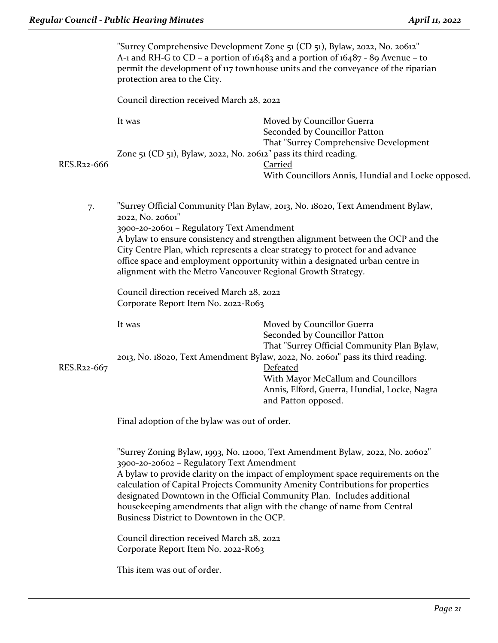|             | protection area to the City.                                                                                                                                                                                                                                                                                                                                                                                                                                                                        | "Surrey Comprehensive Development Zone 51 (CD 51), Bylaw, 2022, No. 20612"<br>A-1 and RH-G to CD – a portion of 16483 and a portion of 16487 - 89 Avenue – to<br>permit the development of 117 townhouse units and the conveyance of the riparian |  |
|-------------|-----------------------------------------------------------------------------------------------------------------------------------------------------------------------------------------------------------------------------------------------------------------------------------------------------------------------------------------------------------------------------------------------------------------------------------------------------------------------------------------------------|---------------------------------------------------------------------------------------------------------------------------------------------------------------------------------------------------------------------------------------------------|--|
|             | Council direction received March 28, 2022                                                                                                                                                                                                                                                                                                                                                                                                                                                           |                                                                                                                                                                                                                                                   |  |
|             | It was                                                                                                                                                                                                                                                                                                                                                                                                                                                                                              | Moved by Councillor Guerra<br>Seconded by Councillor Patton                                                                                                                                                                                       |  |
| RES.R22-666 | Zone 51 (CD 51), Bylaw, 2022, No. 20612" pass its third reading.                                                                                                                                                                                                                                                                                                                                                                                                                                    | That "Surrey Comprehensive Development<br><b>Carried</b>                                                                                                                                                                                          |  |
|             |                                                                                                                                                                                                                                                                                                                                                                                                                                                                                                     | With Councillors Annis, Hundial and Locke opposed.                                                                                                                                                                                                |  |
| 7.          | 2022, No. 20601"                                                                                                                                                                                                                                                                                                                                                                                                                                                                                    | "Surrey Official Community Plan Bylaw, 2013, No. 18020, Text Amendment Bylaw,                                                                                                                                                                     |  |
|             | 3900-20-20601 - Regulatory Text Amendment<br>A bylaw to ensure consistency and strengthen alignment between the OCP and the<br>City Centre Plan, which represents a clear strategy to protect for and advance<br>office space and employment opportunity within a designated urban centre in<br>alignment with the Metro Vancouver Regional Growth Strategy.                                                                                                                                        |                                                                                                                                                                                                                                                   |  |
|             | Council direction received March 28, 2022<br>Corporate Report Item No. 2022-R063                                                                                                                                                                                                                                                                                                                                                                                                                    |                                                                                                                                                                                                                                                   |  |
|             | It was                                                                                                                                                                                                                                                                                                                                                                                                                                                                                              | Moved by Councillor Guerra<br>Seconded by Councillor Patton<br>That "Surrey Official Community Plan Bylaw,                                                                                                                                        |  |
| RES.R22-667 |                                                                                                                                                                                                                                                                                                                                                                                                                                                                                                     | 2013, No. 18020, Text Amendment Bylaw, 2022, No. 20601" pass its third reading.<br><b>Defeated</b><br>With Mayor McCallum and Councillors<br>Annis, Elford, Guerra, Hundial, Locke, Nagra<br>and Patton opposed.                                  |  |
|             | Final adoption of the bylaw was out of order.                                                                                                                                                                                                                                                                                                                                                                                                                                                       |                                                                                                                                                                                                                                                   |  |
|             | "Surrey Zoning Bylaw, 1993, No. 12000, Text Amendment Bylaw, 2022, No. 20602"<br>3900-20-20602 - Regulatory Text Amendment<br>A bylaw to provide clarity on the impact of employment space requirements on the<br>calculation of Capital Projects Community Amenity Contributions for properties<br>designated Downtown in the Official Community Plan. Includes additional<br>housekeeping amendments that align with the change of name from Central<br>Business District to Downtown in the OCP. |                                                                                                                                                                                                                                                   |  |
|             | Council direction received March 28, 2022<br>Corporate Report Item No. 2022-R063                                                                                                                                                                                                                                                                                                                                                                                                                    |                                                                                                                                                                                                                                                   |  |
|             | This item was out of order.                                                                                                                                                                                                                                                                                                                                                                                                                                                                         |                                                                                                                                                                                                                                                   |  |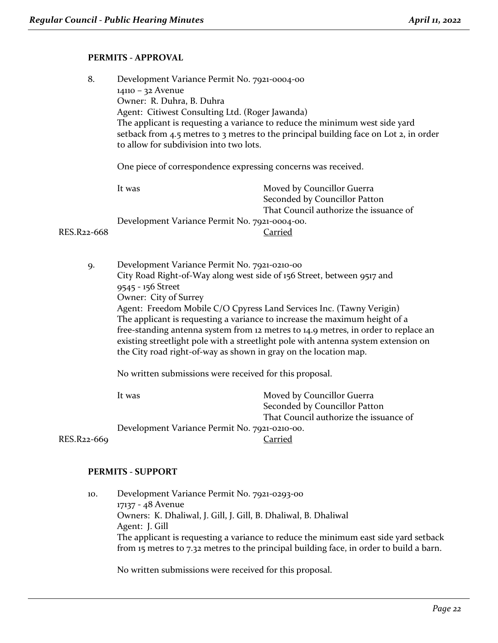#### **PERMITS - APPROVAL**

| 8.          | Development Variance Permit No. 7921-0004-00                                                                                                                                                                                                                                     |                                        |
|-------------|----------------------------------------------------------------------------------------------------------------------------------------------------------------------------------------------------------------------------------------------------------------------------------|----------------------------------------|
|             | 14110 - 32 Avenue                                                                                                                                                                                                                                                                |                                        |
|             | Owner: R. Duhra, B. Duhra                                                                                                                                                                                                                                                        |                                        |
|             | Agent: Citiwest Consulting Ltd. (Roger Jawanda)                                                                                                                                                                                                                                  |                                        |
|             | The applicant is requesting a variance to reduce the minimum west side yard<br>setback from 4.5 metres to 3 metres to the principal building face on Lot 2, in order<br>to allow for subdivision into two lots.<br>One piece of correspondence expressing concerns was received. |                                        |
|             |                                                                                                                                                                                                                                                                                  |                                        |
|             | It was                                                                                                                                                                                                                                                                           | Moved by Councillor Guerra             |
|             |                                                                                                                                                                                                                                                                                  | Seconded by Councillor Patton          |
|             |                                                                                                                                                                                                                                                                                  | That Council authorize the issuance of |
|             | Development Variance Permit No. 7921-0004-00.                                                                                                                                                                                                                                    |                                        |
| RES.R22-668 | Carried                                                                                                                                                                                                                                                                          |                                        |
|             |                                                                                                                                                                                                                                                                                  |                                        |

9. Development Variance Permit No. 7921-0210-00 City Road Right-of-Way along west side of 156 Street, between 9517 and 9545 - 156 Street Owner: City of Surrey Agent: Freedom Mobile C/O Cpyress Land Services Inc. (Tawny Verigin) The applicant is requesting a variance to increase the maximum height of a free-standing antenna system from 12 metres to 14.9 metres, in order to replace an existing streetlight pole with a streetlight pole with antenna system extension on the City road right-of-way as shown in gray on the location map.

No written submissions were received for this proposal.

It was Moved by Councillor Guerra Seconded by Councillor Patton That Council authorize the issuance of Development Variance Permit No. 7921-0210-00. RES.R22-669 Carried

## **PERMITS - SUPPORT**

10. Development Variance Permit No. 7921-0293-00 17137 - 48 Avenue Owners: K. Dhaliwal, J. Gill, J. Gill, B. Dhaliwal, B. Dhaliwal Agent: J. Gill The applicant is requesting a variance to reduce the minimum east side yard setback from 15 metres to 7.32 metres to the principal building face, in order to build a barn.

No written submissions were received for this proposal.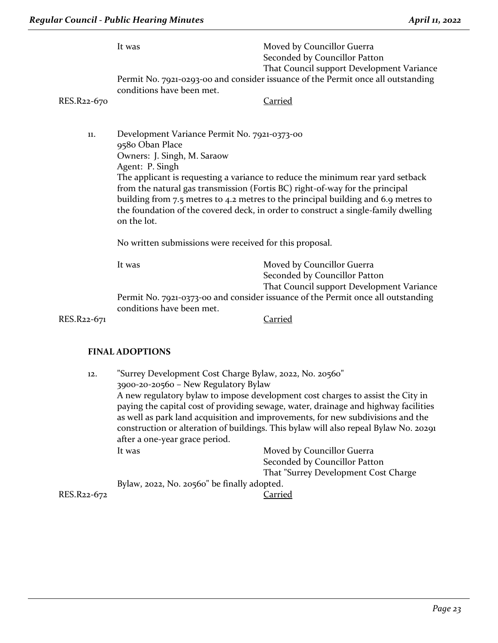| RES.R22-670 | It was<br>conditions have been met.                                                                                                                                                                                                                                                                                                                                                                                                                                            | Moved by Councillor Guerra<br>Seconded by Councillor Patton<br>That Council support Development Variance<br>Permit No. 7921-0293-00 and consider issuance of the Permit once all outstanding<br>Carried |  |
|-------------|--------------------------------------------------------------------------------------------------------------------------------------------------------------------------------------------------------------------------------------------------------------------------------------------------------------------------------------------------------------------------------------------------------------------------------------------------------------------------------|---------------------------------------------------------------------------------------------------------------------------------------------------------------------------------------------------------|--|
|             |                                                                                                                                                                                                                                                                                                                                                                                                                                                                                |                                                                                                                                                                                                         |  |
| 11.         | Development Variance Permit No. 7921-0373-00<br>9580 Oban Place<br>Owners: J. Singh, M. Saraow<br>Agent: P. Singh<br>The applicant is requesting a variance to reduce the minimum rear yard setback<br>from the natural gas transmission (Fortis BC) right-of-way for the principal<br>building from 7.5 metres to 4.2 metres to the principal building and 6.9 metres to<br>the foundation of the covered deck, in order to construct a single-family dwelling<br>on the lot. |                                                                                                                                                                                                         |  |
|             | No written submissions were received for this proposal.                                                                                                                                                                                                                                                                                                                                                                                                                        |                                                                                                                                                                                                         |  |
|             | It was                                                                                                                                                                                                                                                                                                                                                                                                                                                                         | Moved by Councillor Guerra<br>Seconded by Councillor Patton<br>That Council support Development Variance                                                                                                |  |
|             | Permit No. 7921-0373-00 and consider issuance of the Permit once all outstanding<br>conditions have been met.                                                                                                                                                                                                                                                                                                                                                                  |                                                                                                                                                                                                         |  |
| RES.R22-671 |                                                                                                                                                                                                                                                                                                                                                                                                                                                                                | <b>Carried</b>                                                                                                                                                                                          |  |
|             | <b>FINAL ADOPTIONS</b>                                                                                                                                                                                                                                                                                                                                                                                                                                                         |                                                                                                                                                                                                         |  |
| 12.         | "Surrey Development Cost Charge Bylaw, 2022, No. 20560"<br>3900-20-20560 - New Regulatory Bylaw                                                                                                                                                                                                                                                                                                                                                                                |                                                                                                                                                                                                         |  |

A new regulatory bylaw to impose development cost charges to assist the City in paying the capital cost of providing sewage, water, drainage and highway facilities as well as park land acquisition and improvements, for new subdivisions and the construction or alteration of buildings. This bylaw will also repeal Bylaw No. 20291 after a one-year grace period.

It was **Moved by Councillor Guerra** Seconded by Councillor Patton That "Surrey Development Cost Charge Bylaw, 2022, No. 20560" be finally adopted. RES.R22-672 Carried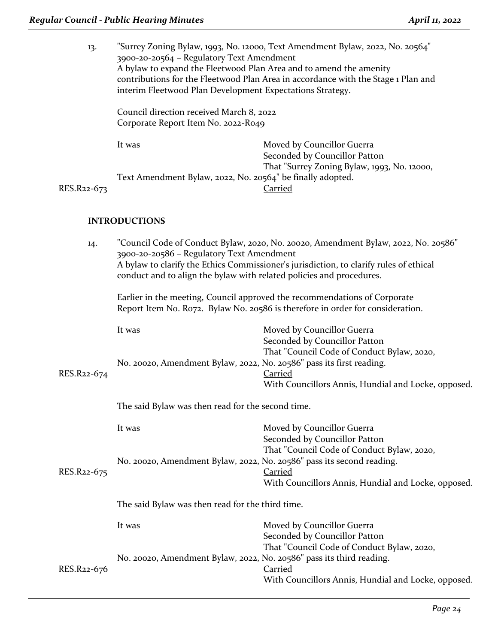| 13.         | "Surrey Zoning Bylaw, 1993, No. 12000, Text Amendment Bylaw, 2022, No. 20564"<br>3900-20-20564 - Regulatory Text Amendment<br>A bylaw to expand the Fleetwood Plan Area and to amend the amenity<br>contributions for the Fleetwood Plan Area in accordance with the Stage 1 Plan and<br>interim Fleetwood Plan Development Expectations Strategy. |                                                                                                           |  |
|-------------|----------------------------------------------------------------------------------------------------------------------------------------------------------------------------------------------------------------------------------------------------------------------------------------------------------------------------------------------------|-----------------------------------------------------------------------------------------------------------|--|
|             | Council direction received March 8, 2022<br>Corporate Report Item No. 2022-R049                                                                                                                                                                                                                                                                    |                                                                                                           |  |
|             | It was                                                                                                                                                                                                                                                                                                                                             | Moved by Councillor Guerra<br>Seconded by Councillor Patton                                               |  |
| RES.R22-673 | Text Amendment Bylaw, 2022, No. 20564" be finally adopted.                                                                                                                                                                                                                                                                                         | That "Surrey Zoning Bylaw, 1993, No. 12000,<br><b>Carried</b>                                             |  |
|             | <b>INTRODUCTIONS</b>                                                                                                                                                                                                                                                                                                                               |                                                                                                           |  |
| 14.         | "Council Code of Conduct Bylaw, 2020, No. 20020, Amendment Bylaw, 2022, No. 20586"<br>3900-20-20586 - Regulatory Text Amendment<br>A bylaw to clarify the Ethics Commissioner's jurisdiction, to clarify rules of ethical<br>conduct and to align the bylaw with related policies and procedures.                                                  |                                                                                                           |  |
|             | Earlier in the meeting, Council approved the recommendations of Corporate<br>Report Item No. Ro72. Bylaw No. 20586 is therefore in order for consideration.                                                                                                                                                                                        |                                                                                                           |  |
|             | It was                                                                                                                                                                                                                                                                                                                                             | Moved by Councillor Guerra<br>Seconded by Councillor Patton<br>That "Council Code of Conduct Bylaw, 2020, |  |
| RES.R22-674 | No. 20020, Amendment Bylaw, 2022, No. 20586" pass its first reading.                                                                                                                                                                                                                                                                               | <b>Carried</b><br>With Councillors Annis, Hundial and Locke, opposed.                                     |  |
|             | The said Bylaw was then read for the second time.                                                                                                                                                                                                                                                                                                  |                                                                                                           |  |
|             | It was                                                                                                                                                                                                                                                                                                                                             | Moved by Councillor Guerra<br>Seconded by Councillor Patton<br>That "Council Code of Conduct Bylaw, 2020, |  |
| RES.R22-675 | No. 20020, Amendment Bylaw, 2022, No. 20586" pass its second reading.                                                                                                                                                                                                                                                                              | <b>Carried</b><br>With Councillors Annis, Hundial and Locke, opposed.                                     |  |
|             | The said Bylaw was then read for the third time.                                                                                                                                                                                                                                                                                                   |                                                                                                           |  |
|             | It was                                                                                                                                                                                                                                                                                                                                             | Moved by Councillor Guerra<br>Seconded by Councillor Patton<br>That "Council Code of Conduct Bylaw, 2020, |  |
| RES.R22-676 | No. 20020, Amendment Bylaw, 2022, No. 20586" pass its third reading.                                                                                                                                                                                                                                                                               | <b>Carried</b><br>With Councillors Annis, Hundial and Locke, opposed.                                     |  |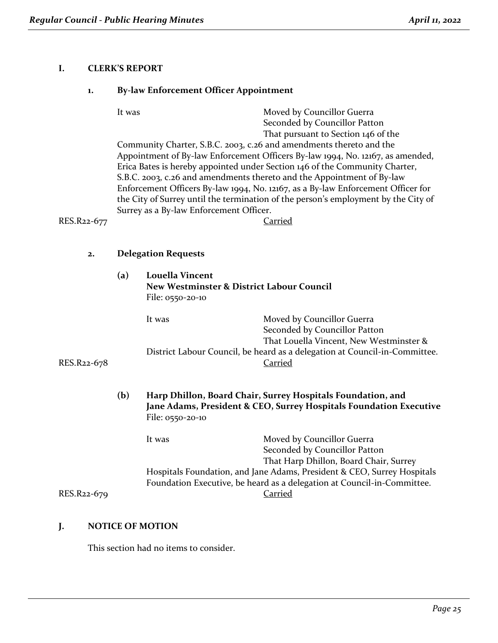## **I. CLERK'S REPORT**

#### **1. By-law Enforcement Officer Appointment**

It was Moved by Councillor Guerra Seconded by Councillor Patton That pursuant to Section 146 of the

Community Charter, S.B.C. 2003, c.26 and amendments thereto and the Appointment of By-law Enforcement Officers By-law 1994, No. 12167, as amended, Erica Bates is hereby appointed under Section 146 of the Community Charter, S.B.C. 2003, c.26 and amendments thereto and the Appointment of By-law Enforcement Officers By-law 1994, No. 12167, as a By-law Enforcement Officer for the City of Surrey until the termination of the person's employment by the City of Surrey as a By-law Enforcement Officer.

RES.R22-677 Carried

#### **2. Delegation Requests**

**(a) Louella Vincent New Westminster & District Labour Council** File: 0550-20-10 It was Moved by Councillor Guerra Seconded by Councillor Patton That Louella Vincent, New Westminster & District Labour Council, be heard as a delegation at Council-in-Committee. RES.R22-678 Carried **(b) Harp Dhillon, Board Chair, Surrey Hospitals Foundation, and Jane Adams, President & CEO, Surrey Hospitals Foundation Executive** File: 0550-20-10 It was Moved by Councillor Guerra Seconded by Councillor Patton That Harp Dhillon, Board Chair, Surrey

Hospitals Foundation, and Jane Adams, President & CEO, Surrey Hospitals Foundation Executive, be heard as a delegation at Council-in-Committee. RES.R22-679 Carried

## **J. NOTICE OF MOTION**

This section had no items to consider.